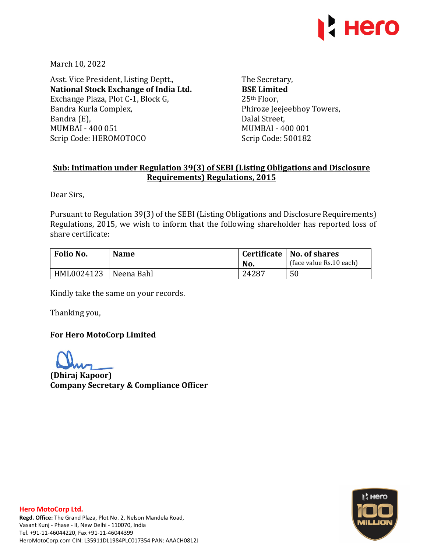

March 10, 2022

Asst. Vice President, Listing Deptt., **National Stock Exchange of India Ltd.**  Exchange Plaza, Plot C-1, Block G, Bandra Kurla Complex, Bandra (E), MUMBAI - 400 051 Scrip Code: HEROMOTOCO

The Secretary, **BSE Limited**  25th Floor, Phiroze Jeejeebhoy Towers, Dalal Street, MUMBAI - 400 001 Scrip Code: 500182

# **Sub: Intimation under Regulation 39(3) of SEBI (Listing Obligations and Disclosure Requirements) Regulations, 2015**

Dear Sirs,

Pursuant to Regulation 39(3) of the SEBI (Listing Obligations and Disclosure Requirements) Regulations, 2015, we wish to inform that the following shareholder has reported loss of share certificate:

| Folio No.  | <b>Name</b> |       | Certificate   No. of shares |  |
|------------|-------------|-------|-----------------------------|--|
|            |             | No.   | (face value Rs.10 each)     |  |
| HML0024123 | Neena Bahl  | 24287 | 50                          |  |

Kindly take the same on your records.

Thanking you,

## **For Hero MotoCorp Limited**

**(Dhiraj Kapoor) Company Secretary & Compliance Officer**